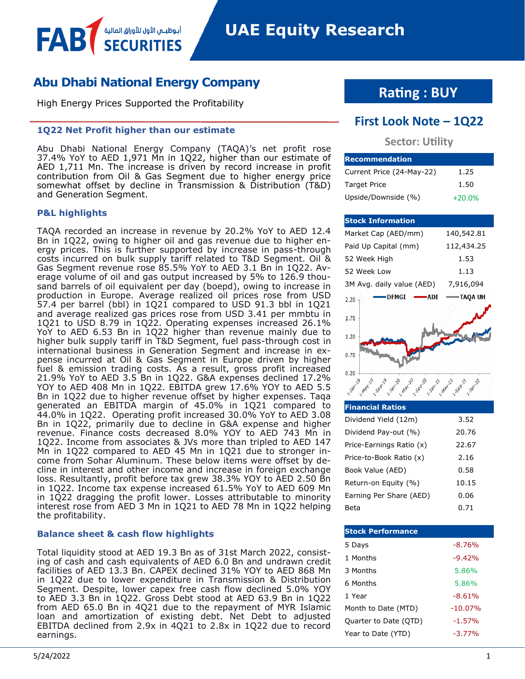## **Abu Dhabi National Energy Company**

أبـوظبــمي الأول للأوراق المالية

High Energy Prices Supported the Profitability

## **1Q22 Net Profit higher than our estimate**

Abu Dhabi National Energy Company (TAQA)'s net profit rose 37.4% YoY to AED 1,971 Mn in 1Q22, higher than our estimate of AED 1,711 Mn. The increase is driven by record increase in profit contribution from Oil & Gas Segment due to higher energy price somewhat offset by decline in Transmission & Distribution (T&D) and Generation Segment.

## **P&L highlights**

FAB

TAQA recorded an increase in revenue by 20.2% YoY to AED 12.4 Bn in 1Q22, owing to higher oil and gas revenue due to higher energy prices. This is further supported by increase in pass-through costs incurred on bulk supply tariff related to T&D Segment. Oil & Gas Segment revenue rose 85.5% YoY to AED 3.1 Bn in 1Q22. Average volume of oil and gas output increased by 5% to 126.9 thousand barrels of oil equivalent per day (boepd), owing to increase in production in Europe. Average realized oil prices rose from USD 57.4 per barrel (bbl) in 1Q21 compared to USD 91.3 bbl in 1Q21 and average realized gas prices rose from USD 3.41 per mmbtu in 1Q21 to USD 8.79 in 1Q22. Operating expenses increased 26.1% YoY to AED 6.53 Bn in 1Q22 higher than revenue mainly due to higher bulk supply tariff in T&D Segment, fuel pass-through cost in international business in Generation Segment and increase in expense incurred at Oil & Gas Segment in Europe driven by higher fuel & emission trading costs. As a result, gross profit increased 21.9% YoY to AED 3.5 Bn in 1Q22. G&A expenses declined 17.2% YOY to AED 408 Mn in 1Q22. EBITDA grew 17.6% YOY to AED 5.5 Bn in 1Q22 due to higher revenue offset by higher expenses. Taqa generated an EBITDA margin of 45.0% in 1Q21 compared to 44.0% in 1Q22. Operating profit increased 30.0% YoY to AED 3.08 Bn in 1Q22, primarily due to decline in G&A expense and higher revenue. Finance costs decreased 8.0% YOY to AED 743 Mn in 1Q22. Income from associates & JVs more than tripled to AED 147 Mn in 1Q22 compared to AED 45 Mn in 1Q21 due to stronger income from Sohar Aluminum. These below items were offset by decline in interest and other income and increase in foreign exchange loss. Resultantly, profit before tax grew 38.3% YOY to AED 2.50 Bn in 1Q22. Income tax expense increased 61.5% YoY to AED 609 Mn in 1Q22 dragging the profit lower. Losses attributable to minority interest rose from AED 3 Mn in 1Q21 to AED 78 Mn in 1Q22 helping the profitability.

### **Balance sheet & cash flow highlights**

Total liquidity stood at AED 19.3 Bn as of 31st March 2022, consisting of cash and cash equivalents of AED 6.0 Bn and undrawn credit facilities of AED 13.3 Bn. CAPEX declined 31% YOY to AED 868 Mn in 1Q22 due to lower expenditure in Transmission & Distribution Segment. Despite, lower capex free cash flow declined 5.0% YOY to AED 3.3 Bn in 1Q22. Gross Debt stood at AED 63.9 Bn in 1Q22 from AED 65.0 Bn in 4Q21 due to the repayment of MYR Islamic loan and amortization of existing debt. Net Debt to adjusted EBITDA declined from 2.9x in 4Q21 to 2.8x in 1Q22 due to record earnings.

# **Rating : BUY**

## **First Look Note – 1Q22**

## **Sector: Utility**

| <b>Recommendation</b>     |          |
|---------------------------|----------|
| Current Price (24-May-22) | 1.25     |
| <b>Target Price</b>       | 1.50     |
| Upside/Downside (%)       | $+20.0%$ |

#### **Stock Information** Market Cap (AED/mm) 140,542.81 Paid Up Capital (mm) 112,434.25 52 Week High 1.53 52 Week Low 1.13 3M Avg. daily value (AED) 7,916,094 -DFMGI · **ADI -TAQA UH** 2.20 1.70 1.20 0.70  $0.20$ **P. Jan-10** 20 AMay 20 20 Sep-20 20 - 1380-21 21 May 21 21 Sept2

| <b>Financial Ratios</b>  |       |
|--------------------------|-------|
| Dividend Yield (12m)     | 3.52  |
| Dividend Pay-out (%)     | 20.76 |
| Price-Earnings Ratio (x) | 22.67 |
| Price-to-Book Ratio (x)  | 2.16  |
| Book Value (AED)         | 0.58  |
| Return-on Equity (%)     | 10.15 |
| Earning Per Share (AED)  | 0.06  |
| Beta                     | 0.71  |

| <b>Stock Performance</b> |           |
|--------------------------|-----------|
| 5 Days                   | $-8.76%$  |
| 1 Months                 | $-9.42%$  |
| 3 Months                 | 5.86%     |
| 6 Months                 | 5.86%     |
| 1 Year                   | $-8.61%$  |
| Month to Date (MTD)      | $-10.07%$ |
| Quarter to Date (QTD)    | $-1.57%$  |
| Year to Date (YTD)       | $-3.77%$  |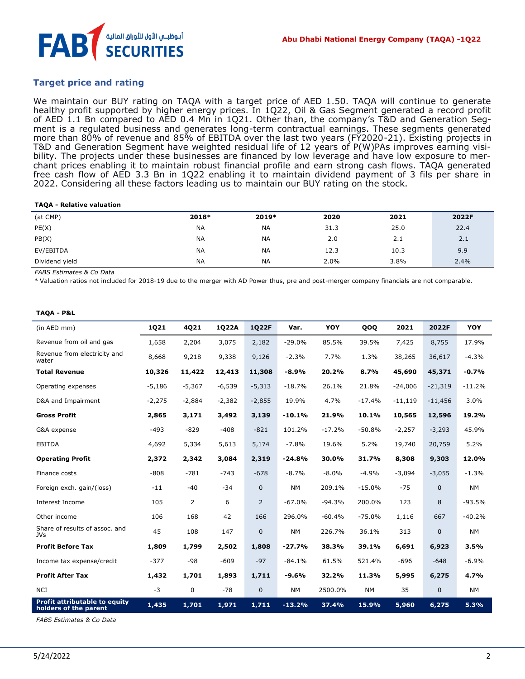

## **Target price and rating**

We maintain our BUY rating on TAQA with a target price of AED 1.50. TAQA will continue to generate healthy profit supported by higher energy prices. In 1Q22, Oil & Gas Segment generated a record profit of AED 1.1 Bn compared to AED 0.4 Mn in 1Q21. Other than, the company's T&D and Generation Segment is a regulated business and generates long-term contractual earnings. These segments generated more than 80% of revenue and 85% of EBITDA over the last two years (FY2020-21). Existing projects in T&D and Generation Segment have weighted residual life of 12 years of P(W)PAs improves earning visibility. The projects under these businesses are financed by low leverage and have low exposure to merchant prices enabling it to maintain robust financial profile and earn strong cash flows. TAQA generated free cash flow of AED 3.3 Bn in 1Q22 enabling it to maintain dividend payment of 3 fils per share in 2022. Considering all these factors leading us to maintain our BUY rating on the stock.

#### **TAQA - Relative valuation**

| (at CMP)       | 2018*     | 2019*     | 2020 | 2021 | 2022F |
|----------------|-----------|-----------|------|------|-------|
| PE(X)          | <b>NA</b> | <b>NA</b> | 31.3 | 25.0 | 22.4  |
| PB(X)          | <b>NA</b> | <b>NA</b> | 2.0  | 2.1  | 2.1   |
| EV/EBITDA      | <b>NA</b> | <b>NA</b> | 12.3 | 10.3 | 9.9   |
| Dividend yield | <b>NA</b> | <b>NA</b> | 2.0% | 3.8% | 2.4%  |

*FABS Estimates & Co Data*

*\** Valuation ratios not included for 2018-19 due to the merger with AD Power thus, pre and post-merger company financials are not comparable.

#### **TAQA - P&L**

| (in AED mm)                                                   | <b>1Q21</b> | 4Q21           | 1022A    | 1Q22F          | Var.      | <b>YOY</b> | QOQ      | 2021      | 2022F        | <b>YOY</b> |
|---------------------------------------------------------------|-------------|----------------|----------|----------------|-----------|------------|----------|-----------|--------------|------------|
| Revenue from oil and gas                                      | 1,658       | 2,204          | 3,075    | 2,182          | $-29.0%$  | 85.5%      | 39.5%    | 7,425     | 8,755        | 17.9%      |
| Revenue from electricity and<br>water                         | 8,668       | 9,218          | 9,338    | 9,126          | $-2.3%$   | 7.7%       | 1.3%     | 38,265    | 36,617       | $-4.3%$    |
| <b>Total Revenue</b>                                          | 10,326      | 11,422         | 12,413   | 11,308         | $-8.9%$   | 20.2%      | 8.7%     | 45,690    | 45,371       | $-0.7%$    |
| Operating expenses                                            | $-5,186$    | $-5,367$       | $-6,539$ | $-5,313$       | $-18.7%$  | 26.1%      | 21.8%    | $-24,006$ | $-21,319$    | $-11.2%$   |
| D&A and Impairment                                            | $-2,275$    | $-2,884$       | $-2,382$ | $-2,855$       | 19.9%     | 4.7%       | $-17.4%$ | $-11,119$ | $-11,456$    | 3.0%       |
| <b>Gross Profit</b>                                           | 2,865       | 3,171          | 3,492    | 3,139          | $-10.1%$  | 21.9%      | 10.1%    | 10,565    | 12,596       | 19.2%      |
| G&A expense                                                   | $-493$      | $-829$         | $-408$   | $-821$         | 101.2%    | $-17.2%$   | $-50.8%$ | $-2,257$  | $-3,293$     | 45.9%      |
| <b>EBITDA</b>                                                 | 4,692       | 5,334          | 5,613    | 5,174          | $-7.8%$   | 19.6%      | 5.2%     | 19,740    | 20,759       | 5.2%       |
| <b>Operating Profit</b>                                       | 2,372       | 2,342          | 3,084    | 2,319          | $-24.8%$  | 30.0%      | 31.7%    | 8,308     | 9,303        | 12.0%      |
| Finance costs                                                 | $-808$      | $-781$         | $-743$   | $-678$         | $-8.7%$   | $-8.0%$    | $-4.9%$  | $-3,094$  | $-3,055$     | $-1.3%$    |
| Foreign exch. gain/(loss)                                     | $-11$       | $-40$          | $-34$    | $\mathbf{0}$   | <b>NM</b> | 209.1%     | $-15.0%$ | $-75$     | $\mathbf{0}$ | <b>NM</b>  |
| Interest Income                                               | 105         | $\overline{2}$ | 6        | $\overline{2}$ | $-67.0%$  | $-94.3%$   | 200.0%   | 123       | 8            | $-93.5%$   |
| Other income                                                  | 106         | 168            | 42       | 166            | 296.0%    | $-60.4%$   | $-75.0%$ | 1,116     | 667          | $-40.2%$   |
| Share of results of assoc. and<br><b>JVs</b>                  | 45          | 108            | 147      | $\mathbf 0$    | <b>NM</b> | 226.7%     | 36.1%    | 313       | 0            | <b>NM</b>  |
| <b>Profit Before Tax</b>                                      | 1,809       | 1,799          | 2,502    | 1,808          | $-27.7%$  | 38.3%      | 39.1%    | 6,691     | 6,923        | 3.5%       |
| Income tax expense/credit                                     | $-377$      | $-98$          | $-609$   | $-97$          | $-84.1%$  | 61.5%      | 521.4%   | $-696$    | $-648$       | $-6.9%$    |
| <b>Profit After Tax</b>                                       | 1,432       | 1,701          | 1,893    | 1,711          | $-9.6%$   | 32.2%      | 11.3%    | 5,995     | 6,275        | 4.7%       |
| <b>NCI</b>                                                    | $-3$        | 0              | $-78$    | $\mathbf{0}$   | <b>NM</b> | 2500.0%    | NΜ       | 35        | $\mathbf{0}$ | NM         |
| <b>Profit attributable to equity</b><br>holders of the parent | 1,435       | 1,701          | 1,971    | 1,711          | $-13.2%$  | 37.4%      | 15.9%    | 5,960     | 6,275        | 5.3%       |

*FABS Estimates & Co Data*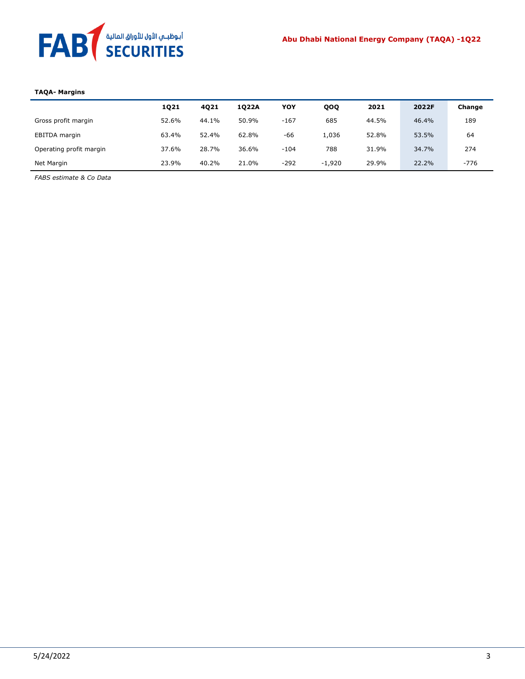

#### **TAQA- Margins**

|                         | 1021  | 4021  | 1022A | YOY    | QOQ      | 2021  | 2022F | Change |
|-------------------------|-------|-------|-------|--------|----------|-------|-------|--------|
| Gross profit margin     | 52.6% | 44.1% | 50.9% | $-167$ | 685      | 44.5% | 46.4% | 189    |
| EBITDA margin           | 63.4% | 52.4% | 62.8% | -66    | 1,036    | 52.8% | 53.5% | 64     |
| Operating profit margin | 37.6% | 28.7% | 36.6% | $-104$ | 788      | 31.9% | 34.7% | 274    |
| Net Margin              | 23.9% | 40.2% | 21.0% | $-292$ | $-1.920$ | 29.9% | 22.2% | $-776$ |
|                         |       |       |       |        |          |       |       |        |

*FABS estimate & Co Data*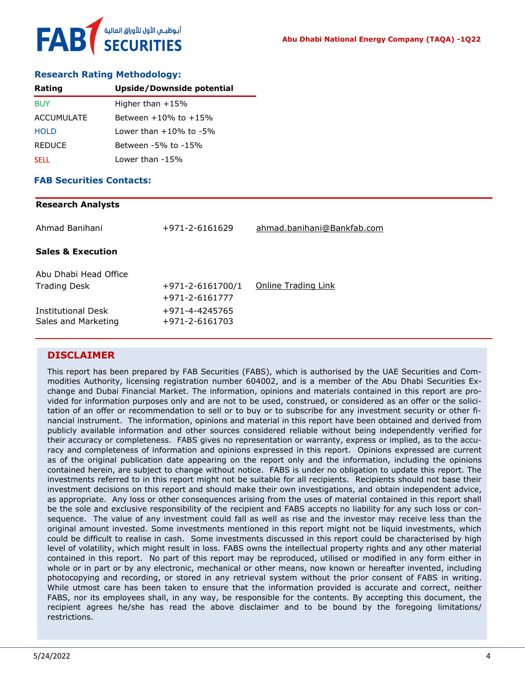

## **Research Rating Methodology:**

| Rating            | Upside/Downside potential    |
|-------------------|------------------------------|
| <b>BUY</b>        | Higher than $+15%$           |
| <b>ACCUMULATE</b> | Between $+10\%$ to $+15\%$   |
| <b>HOLD</b>       | Lower than $+10\%$ to $-5\%$ |
| <b>REDUCE</b>     | Between -5% to -15%          |
| <b>SELL</b>       | Lower than -15%              |

### **FAB Securities Contacts:**

### **Research Analysts**

| Ahmad Banihani                                   | +971-2-6161629                                     | ahmad.banihani@Bankfab.com |
|--------------------------------------------------|----------------------------------------------------|----------------------------|
| <b>Sales &amp; Execution</b>                     |                                                    |                            |
| Abu Dhabi Head Office<br><b>Trading Desk</b>     | $+971 - 2 - 6161700/1$                             | Online Trading Link        |
| <b>Institutional Desk</b><br>Sales and Marketing | +971-2-6161777<br>+971-4-4245765<br>+971-2-6161703 |                            |

## **DISCLAIMER**

This report has been prepared by FAB Securities (FABS), which is authorised by the UAE Securities and Commodities Authority, licensing registration number 604002, and is a member of the Abu Dhabi Securities Exchange and Dubai Financial Market. The information, opinions and materials contained in this report are provided for information purposes only and are not to be used, construed, or considered as an offer or the solicitation of an offer or recommendation to sell or to buy or to subscribe for any investment security or other financial instrument. The information, opinions and material in this report have been obtained and derived from publicly available information and other sources considered reliable without being independently verified for their accuracy or completeness. FABS gives no representation or warranty, express or implied, as to the accuracy and completeness of information and opinions expressed in this report. Opinions expressed are current as of the original publication date appearing on the report only and the information, including the opinions contained herein, are subject to change without notice. FABS is under no obligation to update this report. The investments referred to in this report might not be suitable for all recipients. Recipients should not base their investment decisions on this report and should make their own investigations, and obtain independent advice, as appropriate. Any loss or other consequences arising from the uses of material contained in this report shall be the sole and exclusive responsibility of the recipient and FABS accepts no liability for any such loss or consequence. The value of any investment could fall as well as rise and the investor may receive less than the original amount invested. Some investments mentioned in this report might not be liquid investments, which could be difficult to realise in cash. Some investments discussed in this report could be characterised by high level of volatility, which might result in loss. FABS owns the intellectual property rights and any other material contained in this report. No part of this report may be reproduced, utilised or modified in any form either in whole or in part or by any electronic, mechanical or other means, now known or hereafter invented, including photocopying and recording, or stored in any retrieval system without the prior consent of FABS in writing. While utmost care has been taken to ensure that the information provided is accurate and correct, neither FABS, nor its employees shall, in any way, be responsible for the contents. By accepting this document, the recipient agrees he/she has read the above disclaimer and to be bound by the foregoing limitations/ restrictions.